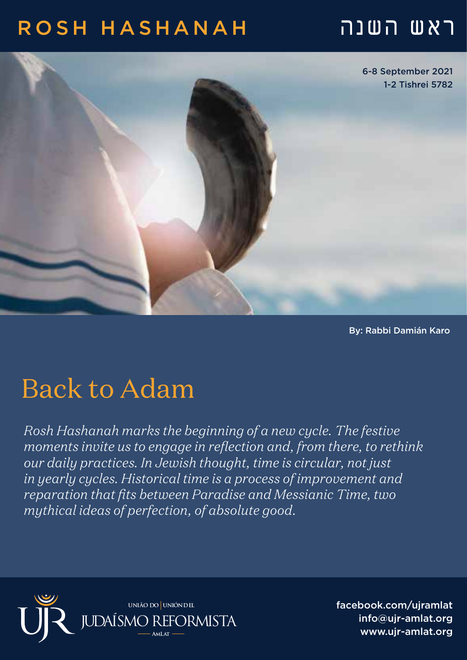### ראש השנה HASHANAH ROSH



By: Rabbi Damián Karo

## Back to Adam

*Rosh Hashanah marks the beginning of a new cycle. The festive moments invite us to engage in reflection and, from there, to rethink our daily practices. In Jewish thought, time is circular, not just in yearly cycles. Historical time is a process of improvement and reparation that fits between Paradise and Messianic Time, two mythical ideas of perfection, of absolute good.* 



facebook.com/ujramlat info@ujr-amlat.org www.uir-amlat.org جو است العربية info@ujr-amlat.org<br>-<br>-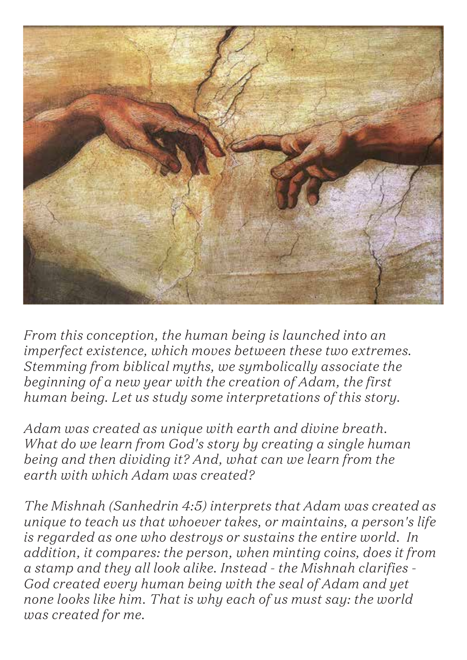

*From this conception, the human being is launched into an imperfect existence, which moves between these two extremes. Stemming from biblical myths, we symbolically associate the beginning of a new year with the creation of Adam, the first human being. Let us study some interpretations of this story.*

*Adam was created as unique with earth and divine breath. What do we learn from God's story by creating a single human being and then dividing it? And, what can we learn from the earth with which Adam was created?*

*The Mishnah (Sanhedrin 4:5) interprets that Adam was created as unique to teach us that whoever takes, or maintains, a person's life is regarded as one who destroys or sustains the entire world. In addition, it compares: the person, when minting coins, does it from a stamp and they all look alike. Instead - the Mishnah clarifies - God created every human being with the seal of Adam and yet none looks like him. That is why each of us must say: the world was created for me.*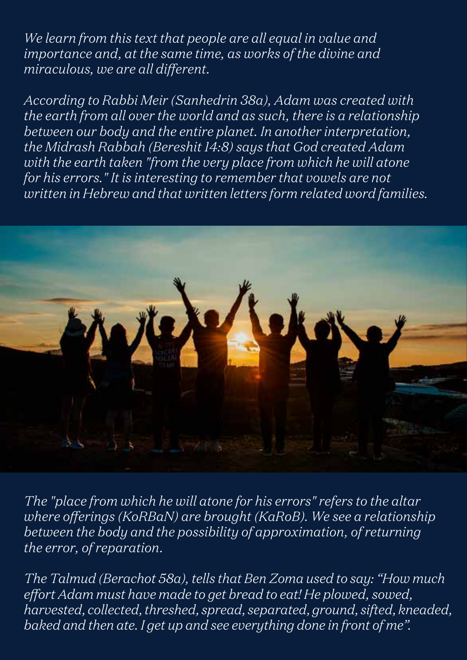*We learn from this text that people are all equal in value and importance and, at the same time, as works of the divine and miraculous, we are all different.*

*According to Rabbi Meir (Sanhedrin 38a), Adam was created with the earth from all over the world and as such, there is a relationship between our body and the entire planet. In another interpretation, the Midrash Rabbah (Bereshit 14:8) says that God created Adam with the earth taken "from the very place from which he will atone for his errors." It is interesting to remember that vowels are not written in Hebrew and that written letters form related word families.* 



*The "place from which he will atone for his errors" refers to the altar where offerings (KoRBaN) are brought (KaRoB). We see a relationship between the body and the possibility of approximation, of returning the error, of reparation.*

*The Talmud (Berachot 58a), tells that Ben Zoma used to say: "How much effort Adam must have made to get bread to eat! He plowed, sowed, harvested, collected, threshed, spread, separated, ground, sifted, kneaded, baked and then ate. I get up and see everything done in front of me".*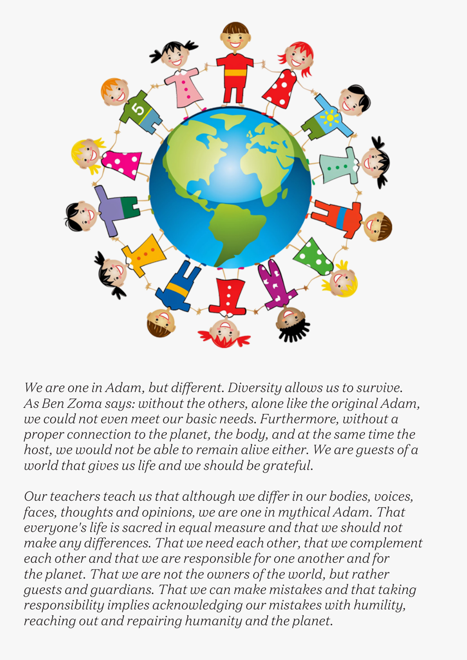

*We are one in Adam, but different. Diversity allows us to survive. As Ben Zoma says: without the others, alone like the original Adam, we could not even meet our basic needs. Furthermore, without a proper connection to the planet, the body, and at the same time the host, we would not be able to remain alive either. We are guests of a world that gives us life and we should be grateful.*

*Our teachers teach us that although we differ in our bodies, voices, faces, thoughts and opinions, we are one in mythical Adam. That everyone's life is sacred in equal measure and that we should not make any differences. That we need each other, that we complement each other and that we are responsible for one another and for the planet. That we are not the owners of the world, but rather guests and guardians. That we can make mistakes and that taking responsibility implies acknowledging our mistakes with humility, reaching out and repairing humanity and the planet.*